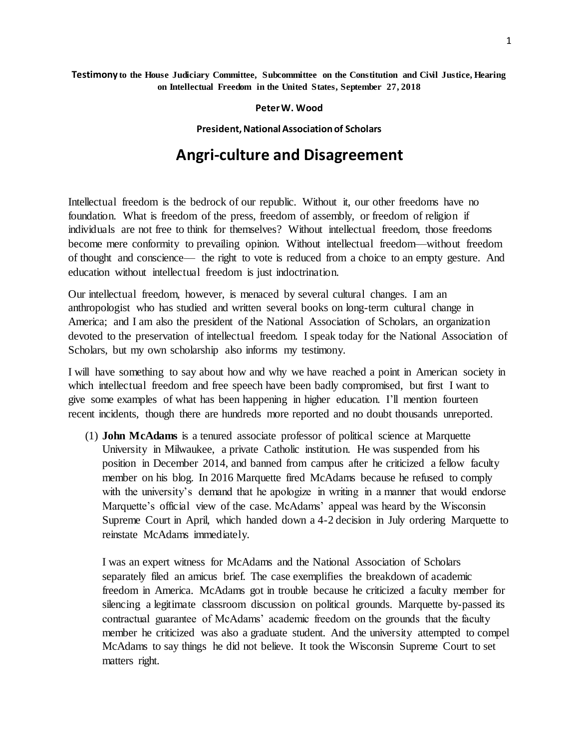## **Testimony to the House Judiciary Committee, Subcommittee on the Constitution and Civil Justice, Hearing on Intellectual Freedom in the United States, September 27, 2018**

## **Peter W. Wood**

## **President, National Association of Scholars**

## **Angri-culture and Disagreement**

Intellectual freedom is the bedrock of our republic. Without it, our other freedoms have no foundation. What is freedom of the press, freedom of assembly, or freedom of religion if individuals are not free to think for themselves? Without intellectual freedom, those freedoms become mere conformity to prevailing opinion. Without intellectual freedom—without freedom of thought and conscience— the right to vote is reduced from a choice to an empty gesture. And education without intellectual freedom is just indoctrination.

Our intellectual freedom, however, is menaced by several cultural changes. I am an anthropologist who has studied and written several books on long-term cultural change in America; and I am also the president of the National Association of Scholars, an organization devoted to the preservation of intellectual freedom. I speak today for the National Association of Scholars, but my own scholarship also informs my testimony.

I will have something to say about how and why we have reached a point in American society in which intellectual freedom and free speech have been badly compromised, but first I want to give some examples of what has been happening in higher education. I'll mention fourteen recent incidents, though there are hundreds more reported and no doubt thousands unreported.

(1) **John McAdams** is a tenured associate professor of political science at Marquette University in Milwaukee, a private Catholic institution. He was suspended from his position in December 2014, and banned from campus after he criticized a fellow faculty member on his blog. In 2016 Marquette fired McAdams because he refused to comply with the university's demand that he apologize in writing in a manner that would endorse Marquette's official view of the case. McAdams' appeal was heard by the Wisconsin Supreme Court in April, which handed down a 4-2 decision in July ordering Marquette to reinstate McAdams immediately.

I was an expert witness for McAdams and the National Association of Scholars separately filed an amicus brief. The case exemplifies the breakdown of academic freedom in America. McAdams got in trouble because he criticized a faculty member for silencing a legitimate classroom discussion on political grounds. Marquette by-passed its contractual guarantee of McAdams' academic freedom on the grounds that the faculty member he criticized was also a graduate student. And the university attempted to compel McAdams to say things he did not believe. It took the Wisconsin Supreme Court to set matters right.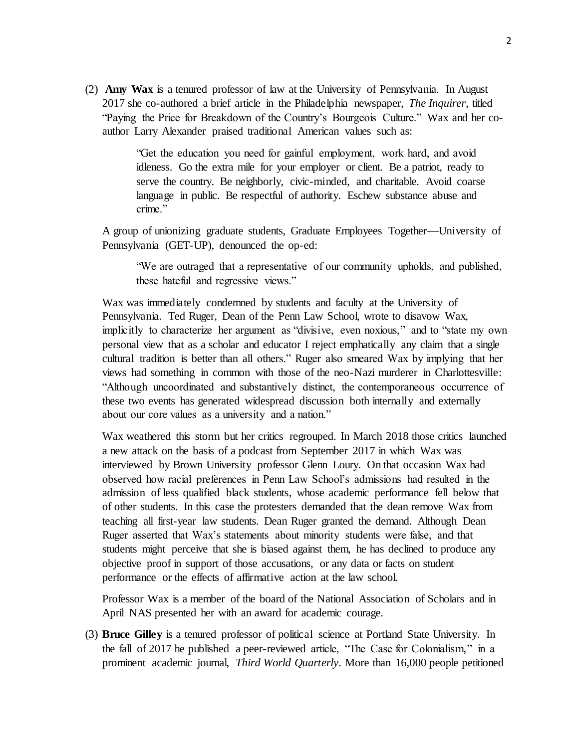(2) **Amy Wax** is a tenured professor of law at the University of Pennsylvania. In August 2017 she co-authored a brief article in the Philadelphia newspaper, *The Inquirer*, titled "Paying the Price for Breakdown of the Country's Bourgeois Culture." Wax and her coauthor Larry Alexander praised traditional American values such as:

> "Get the education you need for gainful employment, work hard, and avoid idleness. Go the extra mile for your employer or client. Be a patriot, ready to serve the country. Be neighborly, civic-minded, and charitable. Avoid coarse language in public. Be respectful of authority. Eschew substance abuse and crime."

A group of unionizing graduate students, Graduate Employees Together—University of Pennsylvania (GET-UP), denounced the op-ed:

"We are outraged that a representative of our community upholds, and published, these hateful and regressive views."

Wax was immediately condemned by students and faculty at the University of Pennsylvania. Ted Ruger, Dean of the Penn Law School, wrote to disavow Wax, implicitly to characterize her argument as "divisive, even noxious," and to "state my own personal view that as a scholar and educator I reject emphatically any claim that a single cultural tradition is better than all others." Ruger also smeared Wax by implying that her views had something in common with those of the neo-Nazi murderer in Charlottesville: "Although uncoordinated and substantively distinct, the contemporaneous occurrence of these two events has generated widespread discussion both internally and externally about our core values as a university and a nation."

Wax weathered this storm but her critics regrouped. In March 2018 those critics launched a new attack on the basis of a podcast from September 2017 in which Wax was interviewed by Brown University professor Glenn Loury. On that occasion Wax had observed how racial preferences in Penn Law School's admissions had resulted in the admission of less qualified black students, whose academic performance fell below that of other students. In this case the protesters demanded that the dean remove Wax from teaching all first-year law students. Dean Ruger granted the demand. Although Dean Ruger asserted that Wax's statements about minority students were false, and that students might perceive that she is biased against them, he has declined to produce any objective proof in support of those accusations, or any data or facts on student performance or the effects of affirmative action at the law school.

Professor Wax is a member of the board of the National Association of Scholars and in April NAS presented her with an award for academic courage.

(3) **Bruce Gilley** is a tenured professor of political science at Portland State University. In the fall of 2017 he published a peer-reviewed article, "The Case for Colonialism," in a prominent academic journal, *Third World Quarterly*. More than 16,000 people petitioned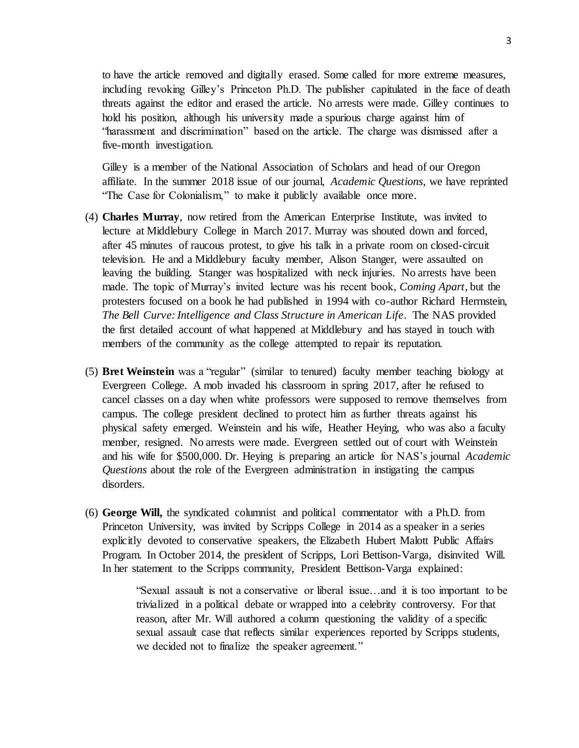to have the article removed and digitally erased. Some called for more extreme measures, including revoking Gilley's Princeton Ph.D. The publisher capitulated in the face of death threats against the editor and erased the article. No arrests were made. Gilley continues to hold his position, although his university made a spurious charge against him of "harassment and discrimination" based on the article. The charge was dismissed after a five-month investigation.

Gilley is a member of the National Association of Scholars and head of our Oregon affiliate. In the summer 2018 issue of our journal, *Academic Questions*, we have reprinted "The Case for Colonialism," to make it publicly available once more.

- (4) **Charles Murray**, now retired from the American Enterprise Institute, was invited to lecture at Middlebury College in March 2017. Murray was shouted down and forced, after 45 minutes of raucous protest, to give his talk in a private room on closed-circuit television. He and a Middlebury faculty member, Alison Stanger, were assaulted on leaving the building. Stanger was hospitalized with neck injuries. No arrests have been made. The topic of Murray's invited lecture was his recent book, *Coming Apart*, but the protesters focused on a book he had published in 1994 with co-author Richard Herrnstein, *The Bell Curve: Intelligence and Class Structure in American Life*. The NAS provided the first detailed account of what happened at Middlebury and has stayed in touch with members of the community as the college attempted to repair its reputation.
- (5) **Bret Weinstein** was a "regular" (similar to tenured) faculty member teaching biology at Evergreen College. A mob invaded his classroom in spring 2017, after he refused to cancel classes on a day when white professors were supposed to remove themselves from campus. The college president declined to protect him as further threats against his physical safety emerged. Weinstein and his wife, Heather Heying, who was also a faculty member, resigned. No arrests were made. Evergreen settled out of court with Weinstein and his wife for \$500,000. Dr. Heying is preparing an article for NAS's journal *Academic Questions* about the role of the Evergreen administration in instigating the campus disorders.
- (6) **George Will,** the syndicated columnist and political commentator with a Ph.D. from Princeton University, was invited by Scripps College in 2014 as a speaker in a series explicitly devoted to conservative speakers, the Elizabeth Hubert Malott Public Affairs Program. In October 2014, the president of Scripps, Lori Bettison-Varga, disinvited Will. In her statement to the Scripps community, President Bettison-Varga explained:

"Sexual assault is not a conservative or liberal issue…and it is too important to be trivialized in a political debate or wrapped into a celebrity controversy. For that reason, after Mr. Will authored a column questioning the validity of a specific sexual assault case that reflects similar experiences reported by Scripps students, we decided not to finalize the speaker agreement."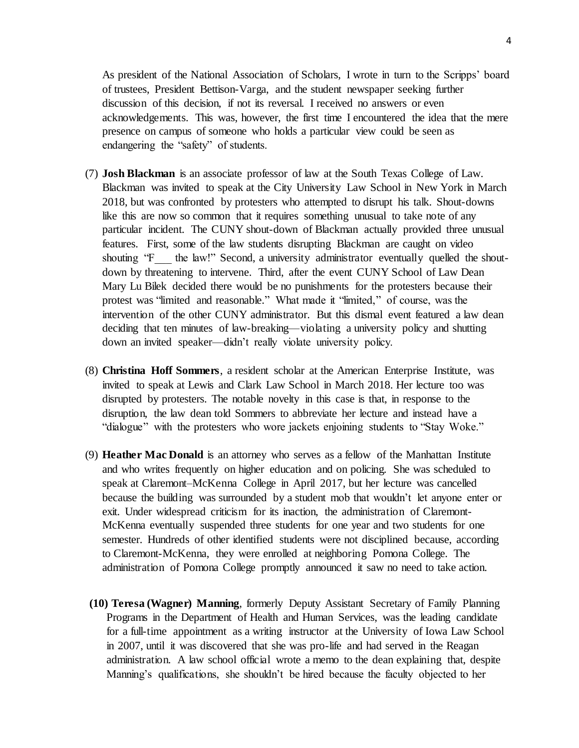As president of the National Association of Scholars, I wrote in turn to the Scripps' board of trustees, President Bettison-Varga, and the student newspaper seeking further discussion of this decision, if not its reversal. I received no answers or even acknowledgements. This was, however, the first time I encountered the idea that the mere presence on campus of someone who holds a particular view could be seen as endangering the "safety" of students.

- (7) **Josh Blackman** is an associate professor of law at the South Texas College of Law. Blackman was invited to speak at the City University Law School in New York in March 2018, but was confronted by protesters who attempted to disrupt his talk. Shout-downs like this are now so common that it requires something unusual to take note of any particular incident. The CUNY shout-down of Blackman actually provided three unusual features. First, some of the law students disrupting Blackman are caught on video shouting "F\_\_\_ the law!" Second, a university administrator eventually quelled the shoutdown by threatening to intervene. Third, after the event CUNY School of Law Dean Mary Lu Bilek decided there would be no punishments for the protesters because their protest was "limited and reasonable." What made it "limited," of course, was the intervention of the other CUNY administrator. But this dismal event featured a law dean deciding that ten minutes of law-breaking—violating a university policy and shutting down an invited speaker—didn't really violate university policy.
- (8) **Christina Hoff Sommers**, a resident scholar at the American Enterprise Institute, was invited to speak at Lewis and Clark Law School in March 2018. Her lecture too was disrupted by protesters. The notable novelty in this case is that, in response to the disruption, the law dean told Sommers to abbreviate her lecture and instead have a "dialogue" with the protesters who wore jackets enjoining students to "Stay Woke."
- (9) **Heather Mac Donald** is an attorney who serves as a fellow of the Manhattan Institute and who writes frequently on higher education and on policing. She was scheduled to speak at Claremont–McKenna College in April 2017, but her lecture was cancelled because the building was surrounded by a student mob that wouldn't let anyone enter or exit. Under widespread criticism for its inaction, the administration of Claremont-McKenna eventually suspended three students for one year and two students for one semester. Hundreds of other identified students were not disciplined because, according to Claremont-McKenna, they were enrolled at neighboring Pomona College. The administration of Pomona College promptly announced it saw no need to take action.
- **(10) Teresa (Wagner) Manning**, formerly Deputy Assistant Secretary of Family Planning Programs in the Department of Health and Human Services, was the leading candidate for a full-time appointment as a writing instructor at the University of Iowa Law School in 2007, until it was discovered that she was pro-life and had served in the Reagan administration. A law school official wrote a memo to the dean explaining that, despite Manning's qualifications, she shouldn't be hired because the faculty objected to her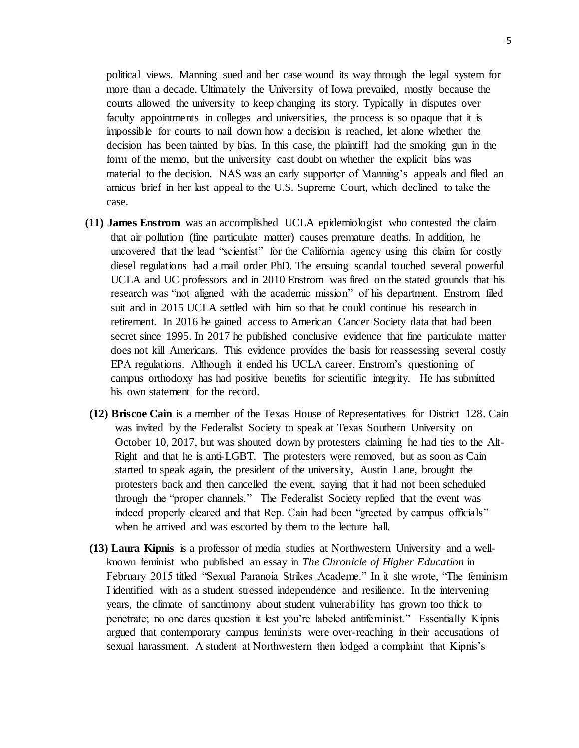political views. Manning sued and her case wound its way through the legal system for more than a decade. Ultimately the University of Iowa prevailed, mostly because the courts allowed the university to keep changing its story. Typically in disputes over faculty appointments in colleges and universities, the process is so opaque that it is impossible for courts to nail down how a decision is reached, let alone whether the decision has been tainted by bias. In this case, the plaintiff had the smoking gun in the form of the memo, but the university cast doubt on whether the explicit bias was material to the decision. NAS was an early supporter of Manning's appeals and filed an amicus brief in her last appeal to the U.S. Supreme Court, which declined to take the case.

- **(11) James Enstrom** was an accomplished UCLA epidemiologist who contested the claim that air pollution (fine particulate matter) causes premature deaths. In addition, he uncovered that the lead "scientist" for the California agency using this claim for costly diesel regulations had a mail order PhD. The ensuing scandal touched several powerful UCLA and UC professors and in 2010 Enstrom was fired on the stated grounds that his research was "not aligned with the academic mission" of his department. Enstrom filed suit and in 2015 UCLA settled with him so that he could continue his research in retirement. In 2016 he gained access to American Cancer Society data that had been secret since 1995. In 2017 he published conclusive evidence that fine particulate matter does not kill Americans. This evidence provides the basis for reassessing several costly EPA regulations. Although it ended his UCLA career, Enstrom's questioning of campus orthodoxy has had positive benefits for scientific integrity. He has submitted his own statement for the record.
- **(12) Briscoe Cain** is a member of the Texas House of Representatives for District 128. Cain was invited by the Federalist Society to speak at Texas Southern University on October 10, 2017, but was shouted down by protesters claiming he had ties to the Alt-Right and that he is anti-LGBT. The protesters were removed, but as soon as Cain started to speak again, the president of the university, Austin Lane, brought the protesters back and then cancelled the event, saying that it had not been scheduled through the "proper channels." The Federalist Society replied that the event was indeed properly cleared and that Rep. Cain had been "greeted by campus officials" when he arrived and was escorted by them to the lecture hall.
- **(13) Laura Kipnis** is a professor of media studies at Northwestern University and a wellknown feminist who published an essay in *The Chronicle of Higher Education* in February 2015 titled "Sexual Paranoia Strikes Academe." In it she wrote, "The feminism I identified with as a student stressed independence and resilience. In the intervening years, the climate of sanctimony about student vulnerability has grown too thick to penetrate; no one dares question it lest you're labeled antifeminist." Essentially Kipnis argued that contemporary campus feminists were over-reaching in their accusations of sexual harassment. A student at Northwestern then lodged a complaint that Kipnis's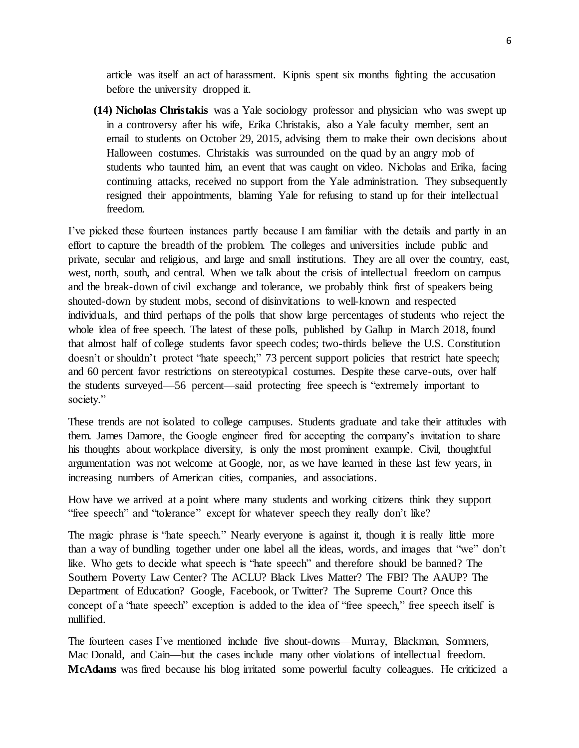article was itself an act of harassment. Kipnis spent six months fighting the accusation before the university dropped it.

**(14) Nicholas Christakis** was a Yale sociology professor and physician who was swept up in a controversy after his wife, Erika Christakis, also a Yale faculty member, sent an email to students on October 29, 2015, advising them to make their own decisions about Halloween costumes. Christakis was surrounded on the quad by an angry mob of students who taunted him, an event that was caught on video. Nicholas and Erika, facing continuing attacks, received no support from the Yale administration. They subsequently resigned their appointments, blaming Yale for refusing to stand up for their intellectual freedom.

I've picked these fourteen instances partly because I am familiar with the details and partly in an effort to capture the breadth of the problem. The colleges and universities include public and private, secular and religious, and large and small institutions. They are all over the country, east, west, north, south, and central. When we talk about the crisis of intellectual freedom on campus and the break-down of civil exchange and tolerance, we probably think first of speakers being shouted-down by student mobs, second of disinvitations to well-known and respected individuals, and third perhaps of the polls that show large percentages of students who reject the whole idea of free speech. The latest of these polls, published by Gallup in March 2018, found that almost half of college students favor speech codes; two-thirds believe the U.S. Constitution doesn't or shouldn't protect "hate speech;" 73 percent support policies that restrict hate speech; and 60 percent favor restrictions on stereotypical costumes. Despite these carve-outs, over half the students surveyed—56 percent—said protecting free speech is "extremely important to society."

These trends are not isolated to college campuses. Students graduate and take their attitudes with them. James Damore, the Google engineer fired for accepting the company's invitation to share his thoughts about workplace diversity, is only the most prominent example. Civil, thoughtful argumentation was not welcome at Google, nor, as we have learned in these last few years, in increasing numbers of American cities, companies, and associations.

How have we arrived at a point where many students and working citizens think they support "free speech" and "tolerance" except for whatever speech they really don't like?

The magic phrase is "hate speech." Nearly everyone is against it, though it is really little more than a way of bundling together under one label all the ideas, words, and images that "we" don't like. Who gets to decide what speech is "hate speech" and therefore should be banned? The Southern Poverty Law Center? The ACLU? Black Lives Matter? The FBI? The AAUP? The Department of Education? Google, Facebook, or Twitter? The Supreme Court? Once this concept of a "hate speech" exception is added to the idea of "free speech," free speech itself is nullified.

The fourteen cases I've mentioned include five shout-downs—Murray, Blackman, Sommers, Mac Donald, and Cain—but the cases include many other violations of intellectual freedom. **McAdams** was fired because his blog irritated some powerful faculty colleagues. He criticized a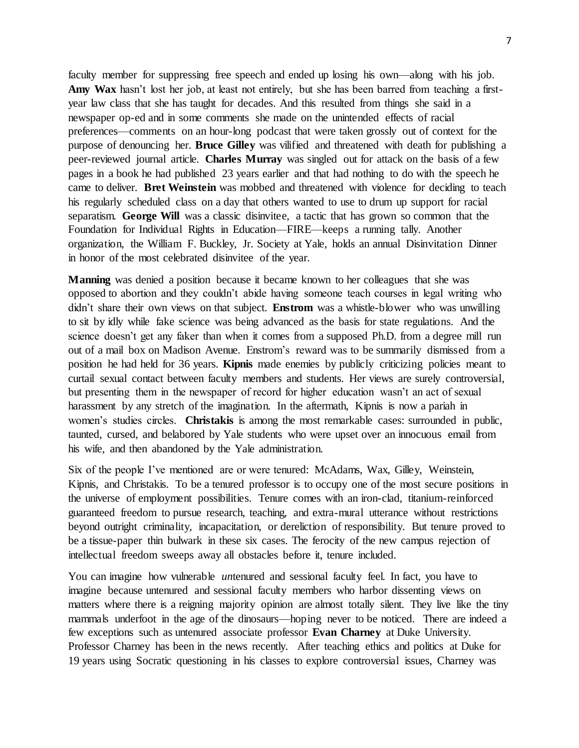faculty member for suppressing free speech and ended up losing his own—along with his job. Amy Wax hasn't lost her job, at least not entirely, but she has been barred from teaching a firstyear law class that she has taught for decades. And this resulted from things she said in a newspaper op-ed and in some comments she made on the unintended effects of racial preferences—comments on an hour-long podcast that were taken grossly out of context for the purpose of denouncing her. **Bruce Gilley** was vilified and threatened with death for publishing a peer-reviewed journal article. **Charles Murray** was singled out for attack on the basis of a few pages in a book he had published 23 years earlier and that had nothing to do with the speech he came to deliver. **Bret Weinstein** was mobbed and threatened with violence for deciding to teach his regularly scheduled class on a day that others wanted to use to drum up support for racial separatism. **George Will** was a classic disinvitee, a tactic that has grown so common that the Foundation for Individual Rights in Education—FIRE—keeps a running tally. Another organization, the William F. Buckley, Jr. Society at Yale, holds an annual Disinvitation Dinner in honor of the most celebrated disinvitee of the year.

**Manning** was denied a position because it became known to her colleagues that she was opposed to abortion and they couldn't abide having someone teach courses in legal writing who didn't share their own views on that subject. **Enstrom** was a whistle-blower who was unwilling to sit by idly while fake science was being advanced as the basis for state regulations. And the science doesn't get any faker than when it comes from a supposed Ph.D. from a degree mill run out of a mail box on Madison Avenue. Enstrom's reward was to be summarily dismissed from a position he had held for 36 years. **Kipnis** made enemies by publicly criticizing policies meant to curtail sexual contact between faculty members and students. Her views are surely controversial, but presenting them in the newspaper of record for higher education wasn't an act of sexual harassment by any stretch of the imagination. In the aftermath, Kipnis is now a pariah in women's studies circles. **Christakis** is among the most remarkable cases: surrounded in public, taunted, cursed, and belabored by Yale students who were upset over an innocuous email from his wife, and then abandoned by the Yale administration.

Six of the people I've mentioned are or were tenured: McAdams, Wax, Gilley, Weinstein, Kipnis, and Christakis. To be a tenured professor is to occupy one of the most secure positions in the universe of employment possibilities. Tenure comes with an iron-clad, titanium-reinforced guaranteed freedom to pursue research, teaching, and extra-mural utterance without restrictions beyond outright criminality, incapacitation, or dereliction of responsibility. But tenure proved to be a tissue-paper thin bulwark in these six cases. The ferocity of the new campus rejection of intellectual freedom sweeps away all obstacles before it, tenure included.

You can imagine how vulnerable *untenured* and sessional faculty feel. In fact, you have to imagine because untenured and sessional faculty members who harbor dissenting views on matters where there is a reigning majority opinion are almost totally silent. They live like the tiny mammals underfoot in the age of the dinosaurs—hoping never to be noticed. There are indeed a few exceptions such as untenured associate professor **Evan Charney** at Duke University. Professor Charney has been in the news recently. After teaching ethics and politics at Duke for 19 years using Socratic questioning in his classes to explore controversial issues, Charney was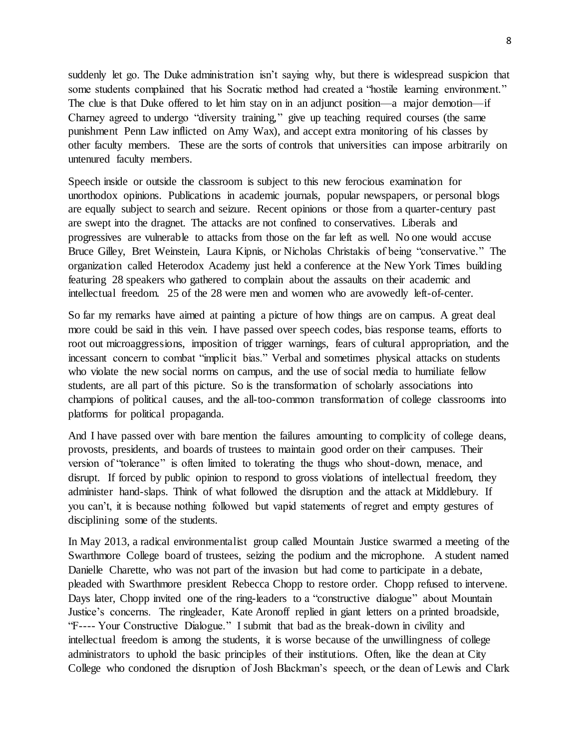suddenly let go. The Duke administration isn't saying why, but there is widespread suspicion that some students complained that his Socratic method had created a "hostile learning environment." The clue is that Duke offered to let him stay on in an adjunct position—a major demotion—if Charney agreed to undergo "diversity training," give up teaching required courses (the same punishment Penn Law inflicted on Amy Wax), and accept extra monitoring of his classes by other faculty members. These are the sorts of controls that universities can impose arbitrarily on untenured faculty members.

Speech inside or outside the classroom is subject to this new ferocious examination for unorthodox opinions. Publications in academic journals, popular newspapers, or personal blogs are equally subject to search and seizure. Recent opinions or those from a quarter-century past are swept into the dragnet. The attacks are not confined to conservatives. Liberals and progressives are vulnerable to attacks from those on the far left as well. No one would accuse Bruce Gilley, Bret Weinstein, Laura Kipnis, or Nicholas Christakis of being "conservative." The organization called Heterodox Academy just held a conference at the New York Times building featuring 28 speakers who gathered to complain about the assaults on their academic and intellectual freedom. 25 of the 28 were men and women who are avowedly left-of-center.

So far my remarks have aimed at painting a picture of how things are on campus. A great deal more could be said in this vein. I have passed over speech codes, bias response teams, efforts to root out microaggressions, imposition of trigger warnings, fears of cultural appropriation, and the incessant concern to combat "implicit bias." Verbal and sometimes physical attacks on students who violate the new social norms on campus, and the use of social media to humiliate fellow students, are all part of this picture. So is the transformation of scholarly associations into champions of political causes, and the all-too-common transformation of college classrooms into platforms for political propaganda.

And I have passed over with bare mention the failures amounting to complicity of college deans, provosts, presidents, and boards of trustees to maintain good order on their campuses. Their version of "tolerance" is often limited to tolerating the thugs who shout-down, menace, and disrupt. If forced by public opinion to respond to gross violations of intellectual freedom, they administer hand-slaps. Think of what followed the disruption and the attack at Middlebury. If you can't, it is because nothing followed but vapid statements of regret and empty gestures of disciplining some of the students.

In May 2013, a radical environmentalist group called Mountain Justice swarmed a meeting of the Swarthmore College board of trustees, seizing the podium and the microphone. A student named Danielle Charette, who was not part of the invasion but had come to participate in a debate, pleaded with Swarthmore president Rebecca Chopp to restore order. Chopp refused to intervene. Days later, Chopp invited one of the ring-leaders to a "constructive dialogue" about Mountain Justice's concerns. The ringleader, Kate Aronoff replied in giant letters on a printed broadside, "F---- Your Constructive Dialogue." I submit that bad as the break-down in civility and intellectual freedom is among the students, it is worse because of the unwillingness of college administrators to uphold the basic principles of their institutions. Often, like the dean at City College who condoned the disruption of Josh Blackman's speech, or the dean of Lewis and Clark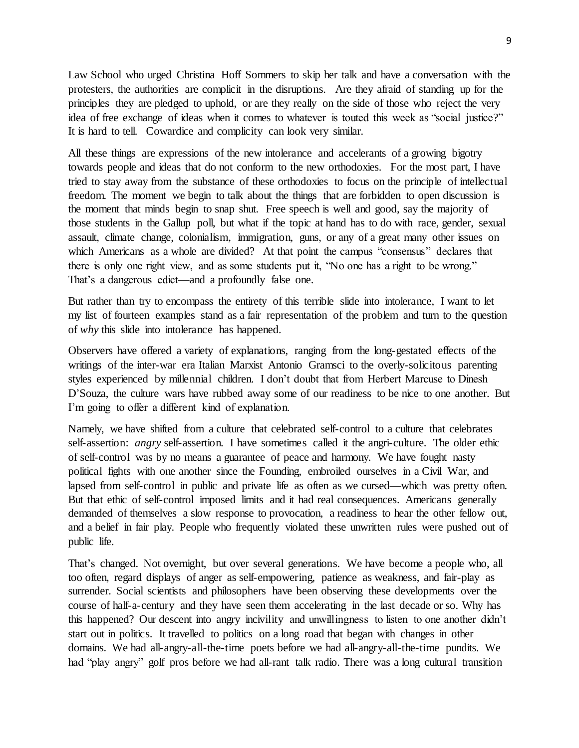Law School who urged Christina Hoff Sommers to skip her talk and have a conversation with the protesters, the authorities are complicit in the disruptions. Are they afraid of standing up for the principles they are pledged to uphold, or are they really on the side of those who reject the very idea of free exchange of ideas when it comes to whatever is touted this week as "social justice?" It is hard to tell. Cowardice and complicity can look very similar.

All these things are expressions of the new intolerance and accelerants of a growing bigotry towards people and ideas that do not conform to the new orthodoxies. For the most part, I have tried to stay away from the substance of these orthodoxies to focus on the principle of intellectual freedom. The moment we begin to talk about the things that are forbidden to open discussion is the moment that minds begin to snap shut. Free speech is well and good, say the majority of those students in the Gallup poll, but what if the topic at hand has to do with race, gender, sexual assault, climate change, colonialism, immigration, guns, or any of a great many other issues on which Americans as a whole are divided? At that point the campus "consensus" declares that there is only one right view, and as some students put it, "No one has a right to be wrong." That's a dangerous edict—and a profoundly false one.

But rather than try to encompass the entirety of this terrible slide into intolerance, I want to let my list of fourteen examples stand as a fair representation of the problem and turn to the question of *why* this slide into intolerance has happened.

Observers have offered a variety of explanations, ranging from the long-gestated effects of the writings of the inter-war era Italian Marxist Antonio Gramsci to the overly-solicitous parenting styles experienced by millennial children. I don't doubt that from Herbert Marcuse to Dinesh D'Souza, the culture wars have rubbed away some of our readiness to be nice to one another. But I'm going to offer a different kind of explanation.

Namely, we have shifted from a culture that celebrated self-control to a culture that celebrates self-assertion: *angry* self-assertion. I have sometimes called it the angri-culture. The older ethic of self-control was by no means a guarantee of peace and harmony. We have fought nasty political fights with one another since the Founding, embroiled ourselves in a Civil War, and lapsed from self-control in public and private life as often as we cursed—which was pretty often. But that ethic of self-control imposed limits and it had real consequences. Americans generally demanded of themselves a slow response to provocation, a readiness to hear the other fellow out, and a belief in fair play. People who frequently violated these unwritten rules were pushed out of public life.

That's changed. Not overnight, but over several generations. We have become a people who, all too often, regard displays of anger as self-empowering, patience as weakness, and fair-play as surrender. Social scientists and philosophers have been observing these developments over the course of half-a-century and they have seen them accelerating in the last decade or so. Why has this happened? Our descent into angry incivility and unwillingness to listen to one another didn't start out in politics. It travelled to politics on a long road that began with changes in other domains. We had all-angry-all-the-time poets before we had all-angry-all-the-time pundits. We had "play angry" golf pros before we had all-rant talk radio. There was a long cultural transition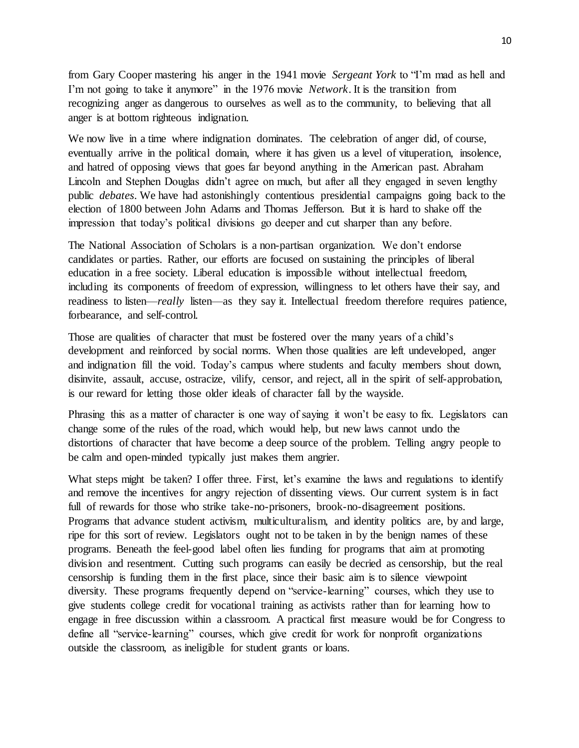from Gary Cooper mastering his anger in the 1941 movie *Sergeant York* to "I'm mad as hell and I'm not going to take it anymore" in the 1976 movie *Network*. It is the transition from recognizing anger as dangerous to ourselves as well as to the community, to believing that all anger is at bottom righteous indignation.

We now live in a time where indignation dominates. The celebration of anger did, of course, eventually arrive in the political domain, where it has given us a level of vituperation, insolence, and hatred of opposing views that goes far beyond anything in the American past. Abraham Lincoln and Stephen Douglas didn't agree on much, but after all they engaged in seven lengthy public *debates*. We have had astonishingly contentious presidential campaigns going back to the election of 1800 between John Adams and Thomas Jefferson. But it is hard to shake off the impression that today's political divisions go deeper and cut sharper than any before.

The National Association of Scholars is a non-partisan organization. We don't endorse candidates or parties. Rather, our efforts are focused on sustaining the principles of liberal education in a free society. Liberal education is impossible without intellectual freedom, including its components of freedom of expression, willingness to let others have their say, and readiness to listen—*really* listen—as they say it. Intellectual freedom therefore requires patience, forbearance, and self-control.

Those are qualities of character that must be fostered over the many years of a child's development and reinforced by social norms. When those qualities are left undeveloped, anger and indignation fill the void. Today's campus where students and faculty members shout down, disinvite, assault, accuse, ostracize, vilify, censor, and reject, all in the spirit of self-approbation, is our reward for letting those older ideals of character fall by the wayside.

Phrasing this as a matter of character is one way of saying it won't be easy to fix. Legislators can change some of the rules of the road, which would help, but new laws cannot undo the distortions of character that have become a deep source of the problem. Telling angry people to be calm and open-minded typically just makes them angrier.

What steps might be taken? I offer three. First, let's examine the laws and regulations to identify and remove the incentives for angry rejection of dissenting views. Our current system is in fact full of rewards for those who strike take-no-prisoners, brook-no-disagreement positions. Programs that advance student activism, multiculturalism, and identity politics are, by and large, ripe for this sort of review. Legislators ought not to be taken in by the benign names of these programs. Beneath the feel-good label often lies funding for programs that aim at promoting division and resentment. Cutting such programs can easily be decried as censorship, but the real censorship is funding them in the first place, since their basic aim is to silence viewpoint diversity. These programs frequently depend on "service-learning" courses, which they use to give students college credit for vocational training as activists rather than for learning how to engage in free discussion within a classroom. A practical first measure would be for Congress to define all "service-learning" courses, which give credit for work for nonprofit organizations outside the classroom, as ineligible for student grants or loans.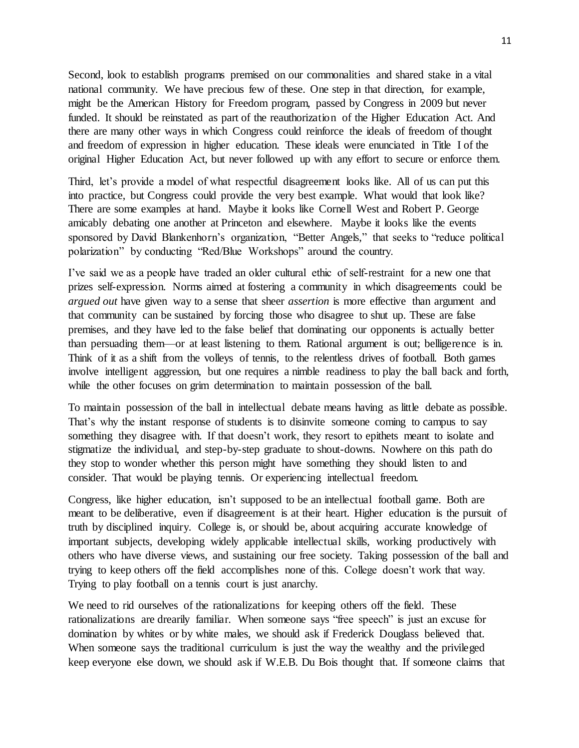Second, look to establish programs premised on our commonalities and shared stake in a vital national community. We have precious few of these. One step in that direction, for example, might be the American History for Freedom program, passed by Congress in 2009 but never funded. It should be reinstated as part of the reauthorization of the Higher Education Act. And there are many other ways in which Congress could reinforce the ideals of freedom of thought and freedom of expression in higher education. These ideals were enunciated in Title I of the original Higher Education Act, but never followed up with any effort to secure or enforce them.

Third, let's provide a model of what respectful disagreement looks like. All of us can put this into practice, but Congress could provide the very best example. What would that look like? There are some examples at hand. Maybe it looks like Cornell West and Robert P. George amicably debating one another at Princeton and elsewhere. Maybe it looks like the events sponsored by David Blankenhorn's organization, "Better Angels," that seeks to "reduce political polarization" by conducting "Red/Blue Workshops" around the country.

I've said we as a people have traded an older cultural ethic of self-restraint for a new one that prizes self-expression. Norms aimed at fostering a community in which disagreements could be *argued out* have given way to a sense that sheer *assertion* is more effective than argument and that community can be sustained by forcing those who disagree to shut up. These are false premises, and they have led to the false belief that dominating our opponents is actually better than persuading them—or at least listening to them. Rational argument is out; belligerence is in. Think of it as a shift from the volleys of tennis, to the relentless drives of football. Both games involve intelligent aggression, but one requires a nimble readiness to play the ball back and forth, while the other focuses on grim determination to maintain possession of the ball.

To maintain possession of the ball in intellectual debate means having as little debate as possible. That's why the instant response of students is to disinvite someone coming to campus to say something they disagree with. If that doesn't work, they resort to epithets meant to isolate and stigmatize the individual, and step-by-step graduate to shout-downs. Nowhere on this path do they stop to wonder whether this person might have something they should listen to and consider. That would be playing tennis. Or experiencing intellectual freedom.

Congress, like higher education, isn't supposed to be an intellectual football game. Both are meant to be deliberative, even if disagreement is at their heart. Higher education is the pursuit of truth by disciplined inquiry. College is, or should be, about acquiring accurate knowledge of important subjects, developing widely applicable intellectual skills, working productively with others who have diverse views, and sustaining our free society. Taking possession of the ball and trying to keep others off the field accomplishes none of this. College doesn't work that way. Trying to play football on a tennis court is just anarchy.

We need to rid ourselves of the rationalizations for keeping others off the field. These rationalizations are drearily familiar. When someone says "free speech" is just an excuse for domination by whites or by white males, we should ask if Frederick Douglass believed that. When someone says the traditional curriculum is just the way the wealthy and the privileged keep everyone else down, we should ask if W.E.B. Du Bois thought that. If someone claims that